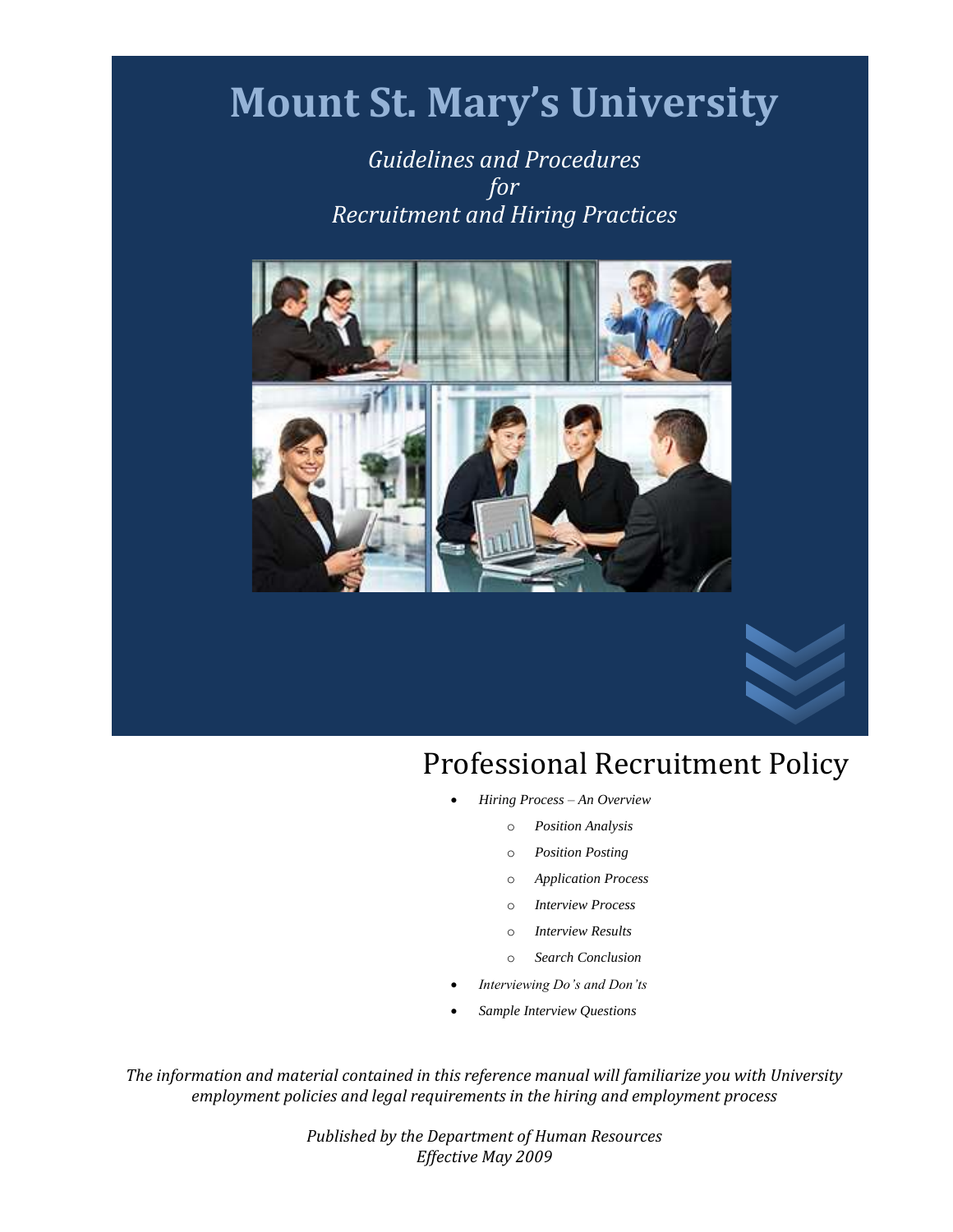# **Mount St. Mary's University**

*Guidelines and Procedures for Recruitment and Hiring Practices*





- *Hiring Process – An Overview*
	- o *Position Analysis*
	- o *Position Posting*
	- o *Application Process*
	- o *Interview Process*
	- o *Interview Results*
	- o *Search Conclusion*
- *Interviewing Do's and Don'ts*
- *Sample Interview Questions*

*The information and material contained in this reference manual will familiarize you with University employment policies and legal requirements in the hiring and employment process*

> *Published by the Department of Human Resources Effective May 2009*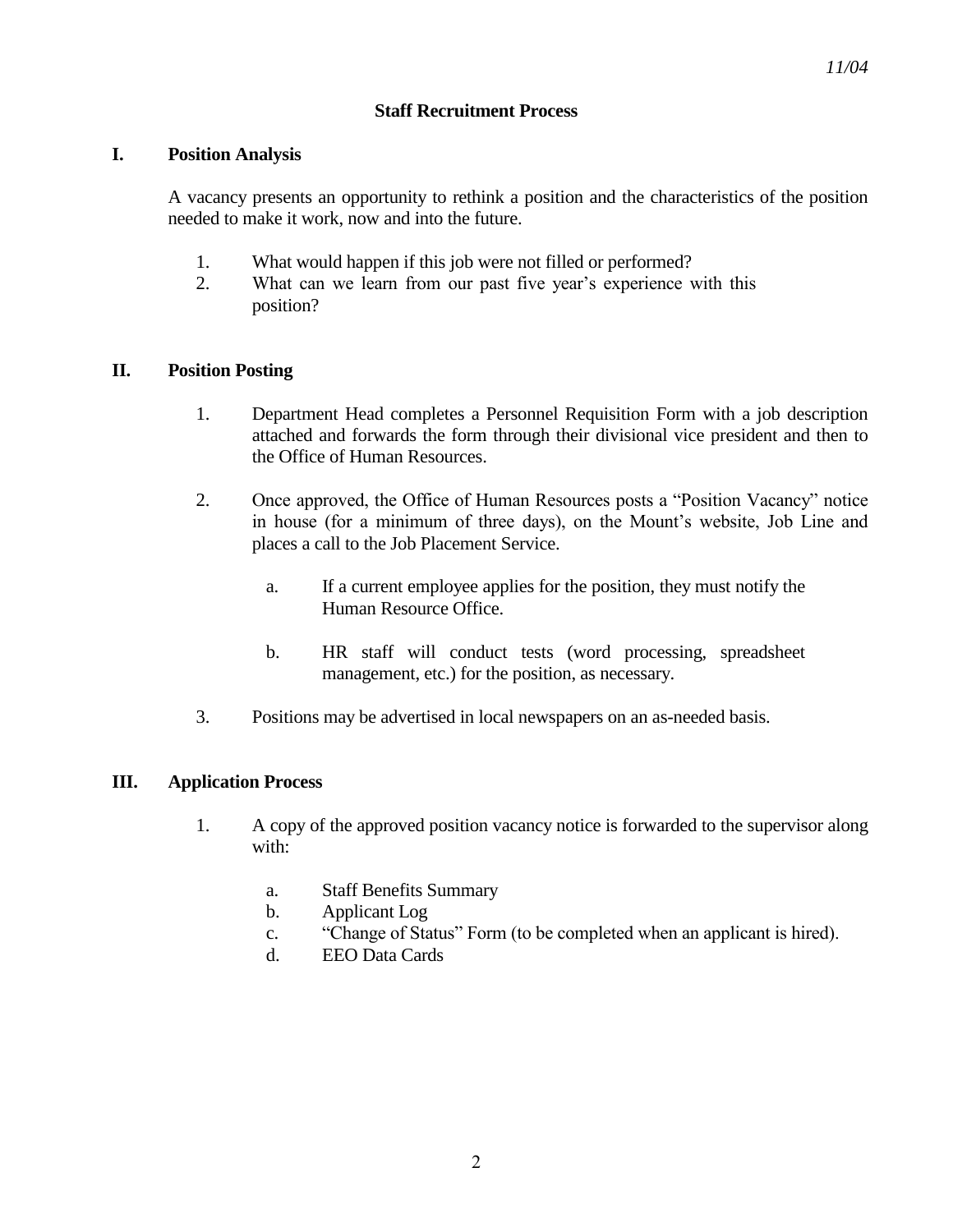#### **Staff Recruitment Process**

#### **I. Position Analysis**

A vacancy presents an opportunity to rethink a position and the characteristics of the position needed to make it work, now and into the future.

- 1. What would happen if this job were not filled or performed?
- 2. What can we learn from our past five year's experience with this position?

#### **II. Position Posting**

- 1. Department Head completes a Personnel Requisition Form with a job description attached and forwards the form through their divisional vice president and then to the Office of Human Resources.
- 2. Once approved, the Office of Human Resources posts a "Position Vacancy" notice in house (for a minimum of three days), on the Mount's website, Job Line and places a call to the Job Placement Service.
	- a. If a current employee applies for the position, they must notify the Human Resource Office.
	- b. HR staff will conduct tests (word processing, spreadsheet management, etc.) for the position, as necessary.
- 3. Positions may be advertised in local newspapers on an as-needed basis.

#### **III. Application Process**

- 1. A copy of the approved position vacancy notice is forwarded to the supervisor along with:
	- a. Staff Benefits Summary
	- b. Applicant Log
	- c. "Change of Status" Form (to be completed when an applicant is hired).
	- d. EEO Data Cards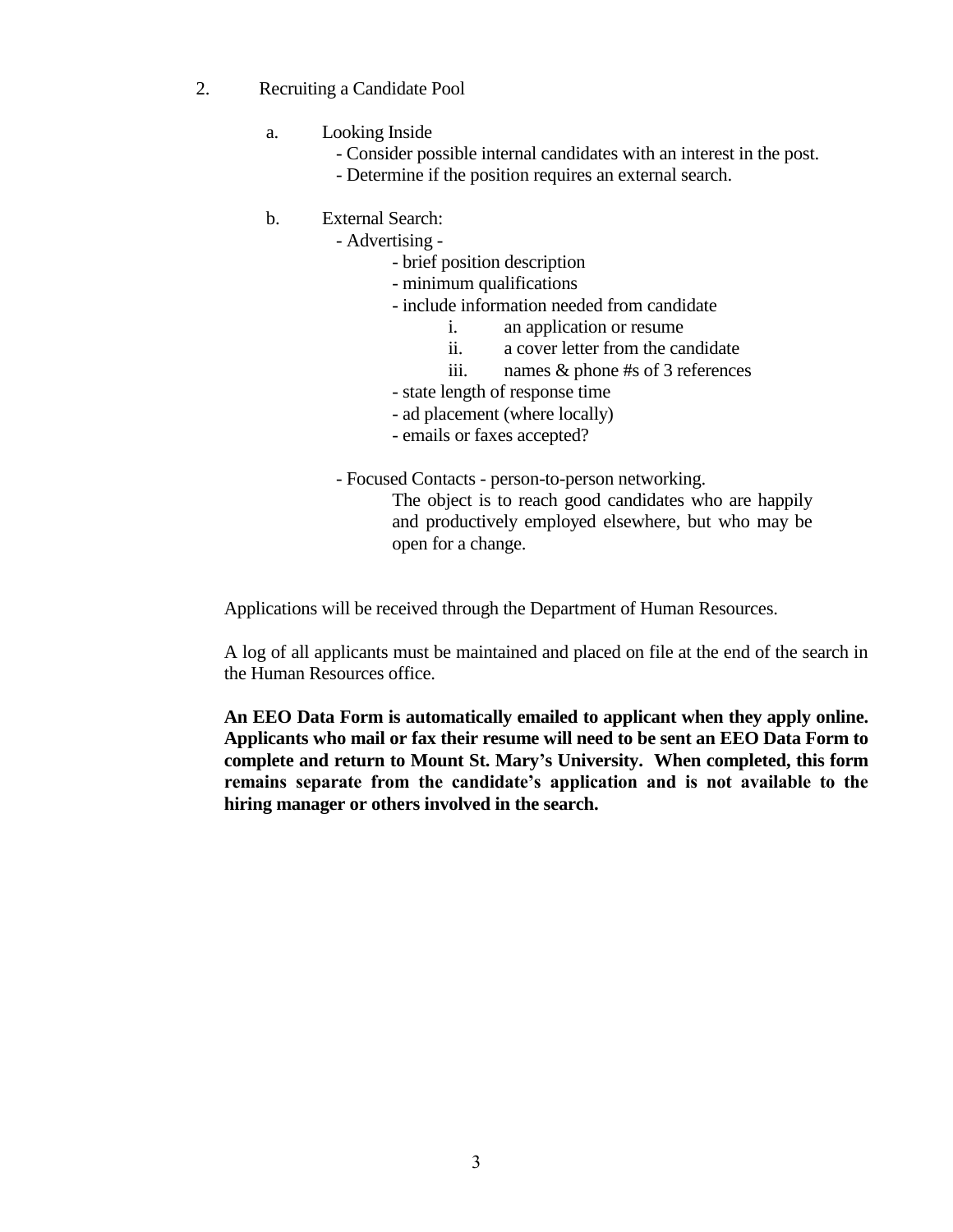- 2. Recruiting a Candidate Pool
	- a. Looking Inside
		- Consider possible internal candidates with an interest in the post.
		- Determine if the position requires an external search.
	- b. External Search:
		- Advertising
			- brief position description
			- minimum qualifications
			- include information needed from candidate
				- i. an application or resume
				- ii. a cover letter from the candidate
				- iii. names & phone #s of 3 references
			- state length of response time
			- ad placement (where locally)
			- emails or faxes accepted?

- Focused Contacts - person-to-person networking.

The object is to reach good candidates who are happily and productively employed elsewhere, but who may be open for a change.

Applications will be received through the Department of Human Resources.

A log of all applicants must be maintained and placed on file at the end of the search in the Human Resources office.

**An EEO Data Form is automatically emailed to applicant when they apply online. Applicants who mail or fax their resume will need to be sent an EEO Data Form to complete and return to Mount St. Mary's University. When completed, this form remains separate from the candidate's application and is not available to the hiring manager or others involved in the search.**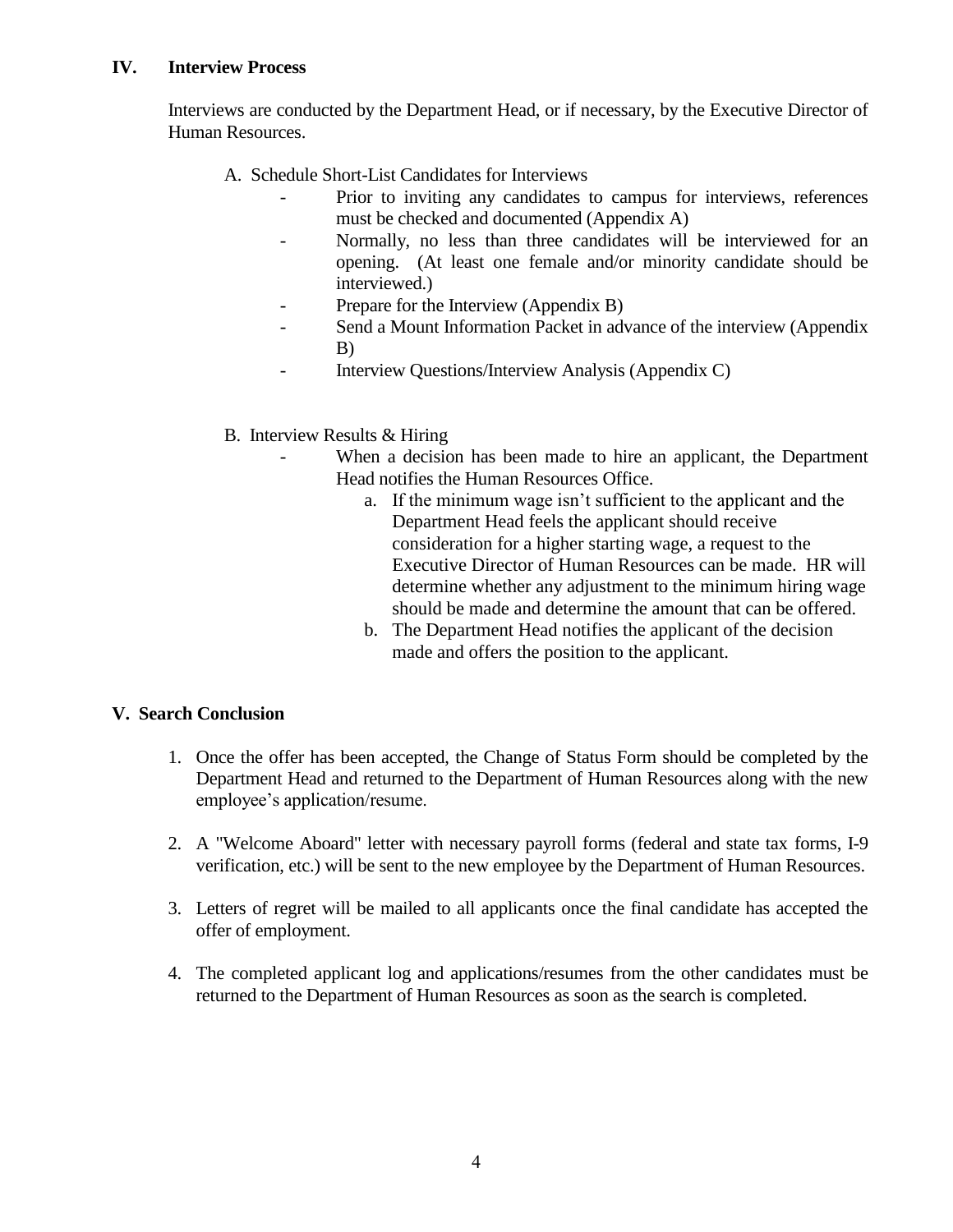#### **IV. Interview Process**

Interviews are conducted by the Department Head, or if necessary, by the Executive Director of Human Resources.

- A. Schedule Short-List Candidates for Interviews
	- Prior to inviting any candidates to campus for interviews, references must be checked and documented (Appendix A)
	- Normally, no less than three candidates will be interviewed for an opening. (At least one female and/or minority candidate should be interviewed.)
	- Prepare for the Interview (Appendix B)
	- Send a Mount Information Packet in advance of the interview (Appendix B)
	- Interview Questions/Interview Analysis (Appendix C)

#### B. Interview Results & Hiring

- When a decision has been made to hire an applicant, the Department Head notifies the Human Resources Office.
	- a. If the minimum wage isn't sufficient to the applicant and the Department Head feels the applicant should receive consideration for a higher starting wage, a request to the Executive Director of Human Resources can be made. HR will determine whether any adjustment to the minimum hiring wage should be made and determine the amount that can be offered.
	- b. The Department Head notifies the applicant of the decision made and offers the position to the applicant.

#### **V. Search Conclusion**

- 1. Once the offer has been accepted, the Change of Status Form should be completed by the Department Head and returned to the Department of Human Resources along with the new employee's application/resume.
- 2. A "Welcome Aboard" letter with necessary payroll forms (federal and state tax forms, I-9 verification, etc.) will be sent to the new employee by the Department of Human Resources.
- 3. Letters of regret will be mailed to all applicants once the final candidate has accepted the offer of employment.
- 4. The completed applicant log and applications/resumes from the other candidates must be returned to the Department of Human Resources as soon as the search is completed.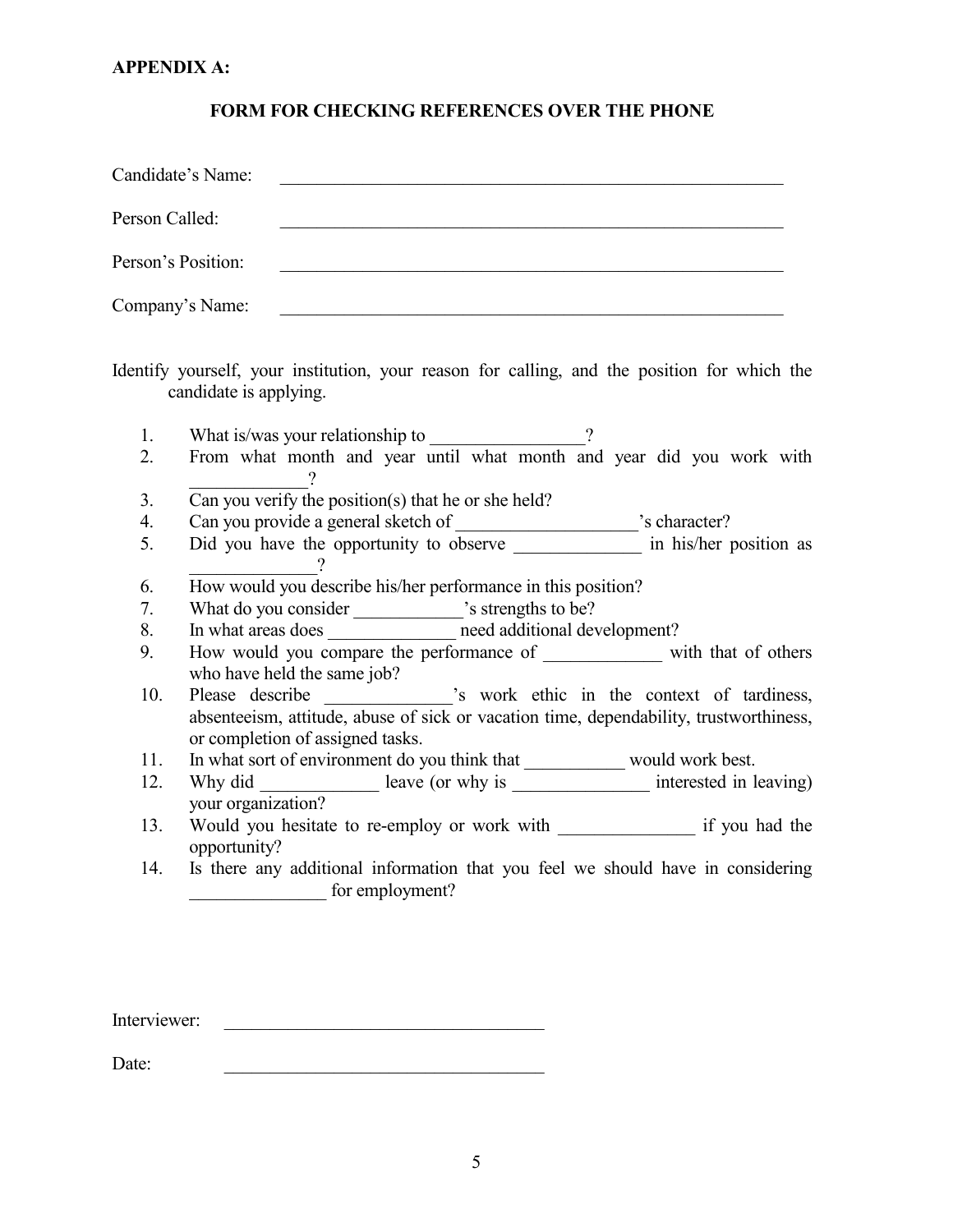#### **APPENDIX A:**

#### **FORM FOR CHECKING REFERENCES OVER THE PHONE**

| Candidate's Name:  |  |
|--------------------|--|
| Person Called:     |  |
| Person's Position: |  |
| Company's Name:    |  |

Identify yourself, your institution, your reason for calling, and the position for which the candidate is applying.

- 1. What is/was your relationship to \_\_\_\_\_\_\_\_\_\_\_\_\_\_\_?
- 2. From what month and year until what month and year did you work with \_\_\_\_\_\_\_\_\_\_\_\_\_?
- 3. Can you verify the position(s) that he or she held?
- 4. Can you provide a general sketch of \_\_\_\_\_\_\_\_\_\_\_\_\_\_\_\_\_\_\_\_'s character?
- 5. Did you have the opportunity to observe \_\_\_\_\_\_\_\_\_\_\_\_\_\_\_\_\_ in his/her position as \_\_\_\_\_\_\_\_\_\_\_\_\_\_?
- 6. How would you describe his/her performance in this position?
- 7. What do you consider  $\cdot$  s strengths to be?
- 8. In what areas does end additional development?
- 9. How would you compare the performance of \_\_\_\_\_\_\_\_\_\_\_\_\_ with that of others who have held the same job?
- 10. Please describe \_\_\_\_\_\_\_\_\_\_\_\_\_\_\_'s work ethic in the context of tardiness, absenteeism, attitude, abuse of sick or vacation time, dependability, trustworthiness, or completion of assigned tasks.
- 11. In what sort of environment do you think that \_\_\_\_\_\_\_\_\_\_\_ would work best.
- 12. Why did leave (or why is interested in leaving) your organization?
- 13. Would you hesitate to re-employ or work with if you had the opportunity?
- 14. Is there any additional information that you feel we should have in considering \_\_\_\_\_\_\_\_\_\_\_\_\_\_\_ for employment?

Interviewer:

 $Date:$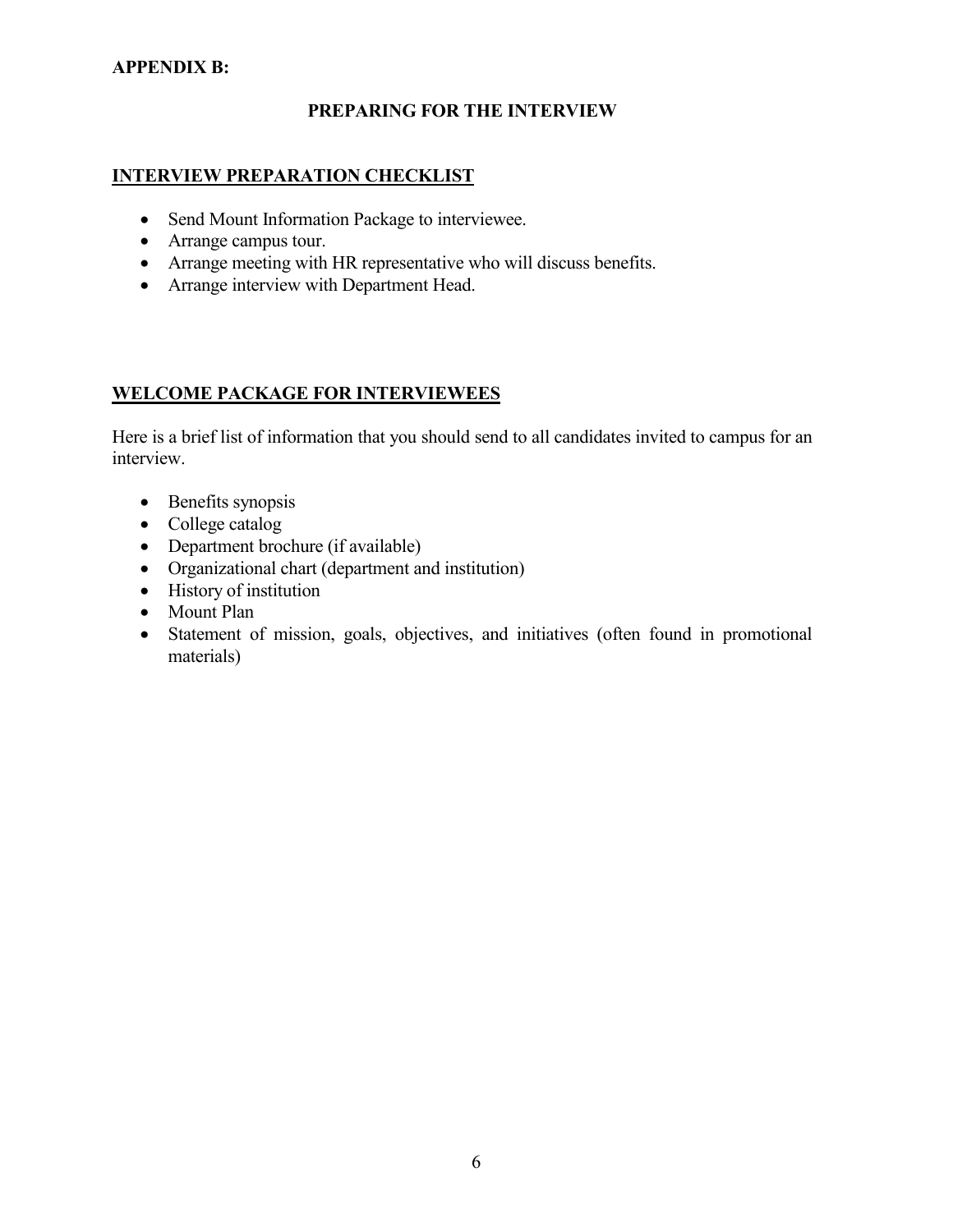#### **APPENDIX B:**

#### **PREPARING FOR THE INTERVIEW**

#### **INTERVIEW PREPARATION CHECKLIST**

- Send Mount Information Package to interviewee.
- Arrange campus tour.
- Arrange meeting with HR representative who will discuss benefits.
- Arrange interview with Department Head.

#### **WELCOME PACKAGE FOR INTERVIEWEES**

Here is a brief list of information that you should send to all candidates invited to campus for an interview.

- Benefits synopsis
- College catalog
- Department brochure (if available)
- Organizational chart (department and institution)
- History of institution
- Mount Plan
- Statement of mission, goals, objectives, and initiatives (often found in promotional materials)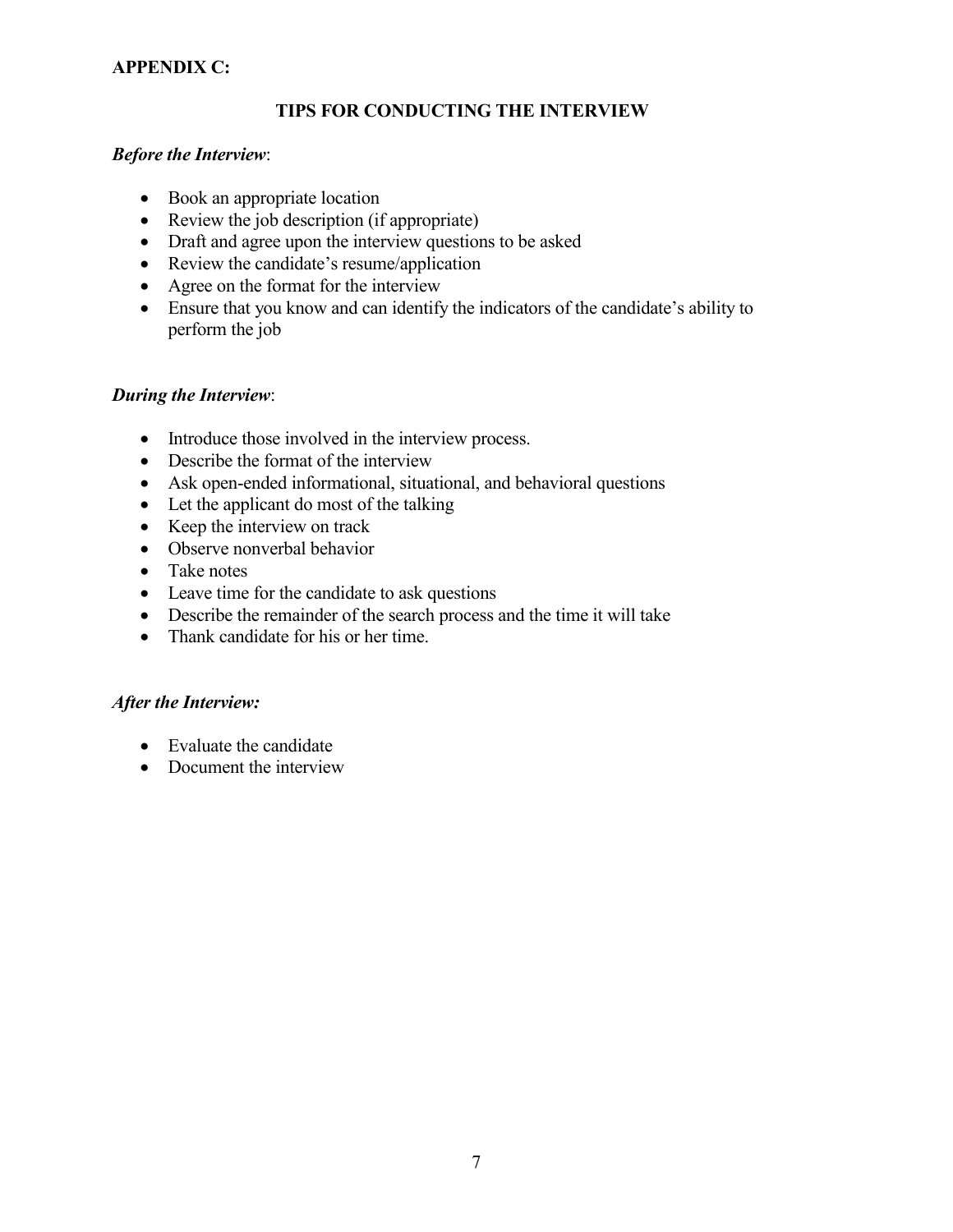#### **APPENDIX C:**

#### **TIPS FOR CONDUCTING THE INTERVIEW**

#### *Before the Interview*:

- Book an appropriate location
- Review the job description (if appropriate)
- Draft and agree upon the interview questions to be asked
- Review the candidate's resume/application
- Agree on the format for the interview
- Ensure that you know and can identify the indicators of the candidate's ability to perform the job

#### *During the Interview*:

- Introduce those involved in the interview process.
- Describe the format of the interview
- Ask open-ended informational, situational, and behavioral questions
- Let the applicant do most of the talking
- Keep the interview on track
- Observe nonverbal behavior
- Take notes
- Leave time for the candidate to ask questions
- Describe the remainder of the search process and the time it will take
- Thank candidate for his or her time.

#### *After the Interview:*

- Evaluate the candidate
- Document the interview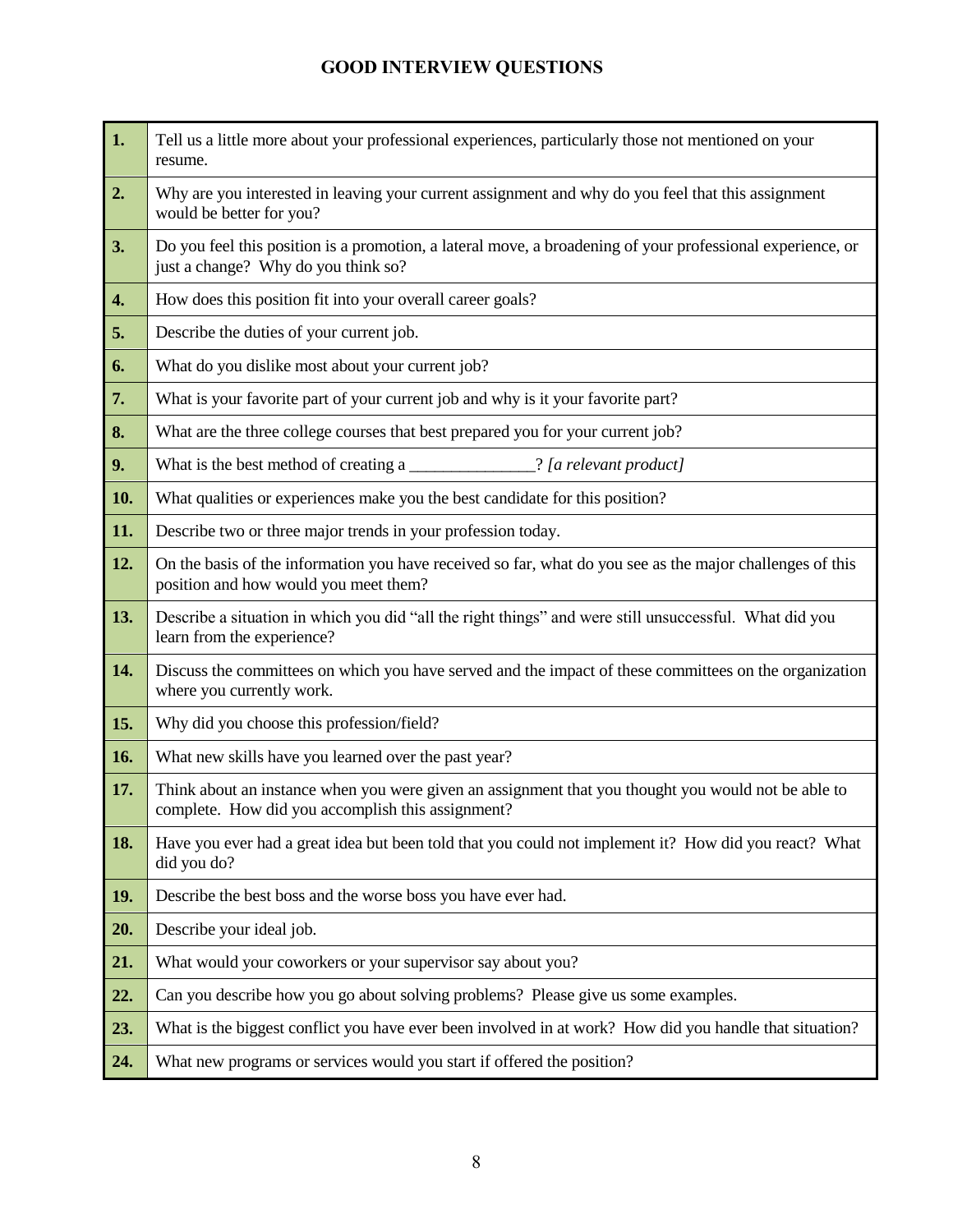## **GOOD INTERVIEW QUESTIONS**

| 1.                 | Tell us a little more about your professional experiences, particularly those not mentioned on your<br>resume.                                           |
|--------------------|----------------------------------------------------------------------------------------------------------------------------------------------------------|
| 2.                 | Why are you interested in leaving your current assignment and why do you feel that this assignment<br>would be better for you?                           |
| 3.                 | Do you feel this position is a promotion, a lateral move, a broadening of your professional experience, or<br>just a change? Why do you think so?        |
| $\boldsymbol{4}$ . | How does this position fit into your overall career goals?                                                                                               |
| 5.                 | Describe the duties of your current job.                                                                                                                 |
| 6.                 | What do you dislike most about your current job?                                                                                                         |
| 7.                 | What is your favorite part of your current job and why is it your favorite part?                                                                         |
| 8.                 | What are the three college courses that best prepared you for your current job?                                                                          |
| 9.                 | What is the best method of creating a<br>[?] [a relevant product]                                                                                        |
| 10.                | What qualities or experiences make you the best candidate for this position?                                                                             |
| 11.                | Describe two or three major trends in your profession today.                                                                                             |
| 12.                | On the basis of the information you have received so far, what do you see as the major challenges of this<br>position and how would you meet them?       |
| 13.                | Describe a situation in which you did "all the right things" and were still unsuccessful. What did you<br>learn from the experience?                     |
| 14.                | Discuss the committees on which you have served and the impact of these committees on the organization<br>where you currently work.                      |
| 15.                | Why did you choose this profession/field?                                                                                                                |
| 16.                | What new skills have you learned over the past year?                                                                                                     |
| 17.                | Think about an instance when you were given an assignment that you thought you would not be able to<br>complete. How did you accomplish this assignment? |
| 18.                | Have you ever had a great idea but been told that you could not implement it? How did you react? What<br>did you do?                                     |
| 19.                | Describe the best boss and the worse boss you have ever had.                                                                                             |
| 20.                | Describe your ideal job.                                                                                                                                 |
| 21.                | What would your coworkers or your supervisor say about you?                                                                                              |
| 22.                | Can you describe how you go about solving problems? Please give us some examples.                                                                        |
| 23.                | What is the biggest conflict you have ever been involved in at work? How did you handle that situation?                                                  |
| 24.                | What new programs or services would you start if offered the position?                                                                                   |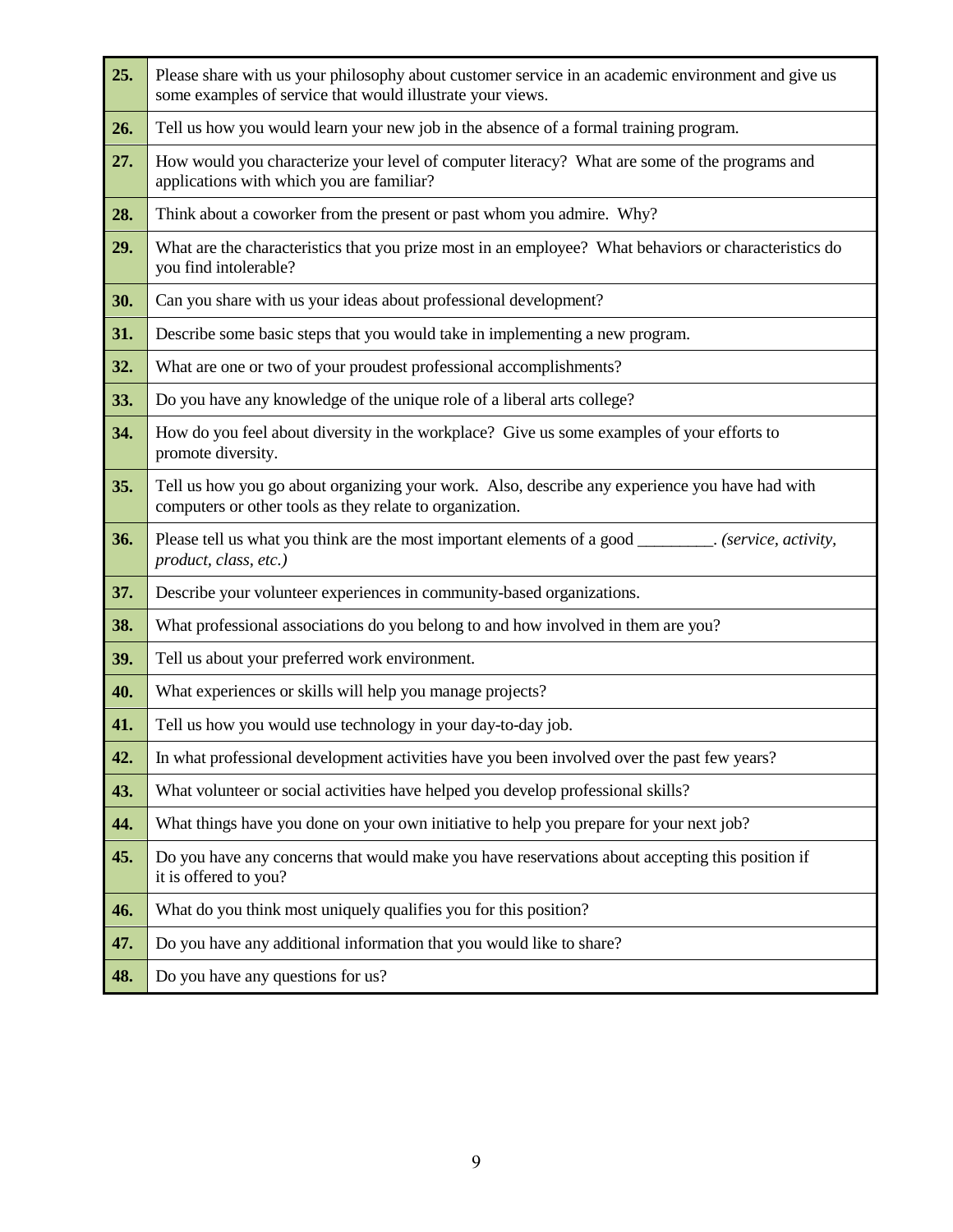| 25. | Please share with us your philosophy about customer service in an academic environment and give us<br>some examples of service that would illustrate your views. |  |  |  |  |
|-----|------------------------------------------------------------------------------------------------------------------------------------------------------------------|--|--|--|--|
| 26. | Tell us how you would learn your new job in the absence of a formal training program.                                                                            |  |  |  |  |
| 27. | How would you characterize your level of computer literacy? What are some of the programs and<br>applications with which you are familiar?                       |  |  |  |  |
| 28. | Think about a coworker from the present or past whom you admire. Why?                                                                                            |  |  |  |  |
| 29. | What are the characteristics that you prize most in an employee? What behaviors or characteristics do<br>you find intolerable?                                   |  |  |  |  |
| 30. | Can you share with us your ideas about professional development?                                                                                                 |  |  |  |  |
| 31. | Describe some basic steps that you would take in implementing a new program.                                                                                     |  |  |  |  |
| 32. | What are one or two of your proudest professional accomplishments?                                                                                               |  |  |  |  |
| 33. | Do you have any knowledge of the unique role of a liberal arts college?                                                                                          |  |  |  |  |
| 34. | How do you feel about diversity in the workplace? Give us some examples of your efforts to<br>promote diversity.                                                 |  |  |  |  |
| 35. | Tell us how you go about organizing your work. Also, describe any experience you have had with<br>computers or other tools as they relate to organization.       |  |  |  |  |
| 36. | Please tell us what you think are the most important elements of a good _________. (service, activity,<br>product, class, etc.)                                  |  |  |  |  |
| 37. | Describe your volunteer experiences in community-based organizations.                                                                                            |  |  |  |  |
| 38. | What professional associations do you belong to and how involved in them are you?                                                                                |  |  |  |  |
| 39. | Tell us about your preferred work environment.                                                                                                                   |  |  |  |  |
| 40. | What experiences or skills will help you manage projects?                                                                                                        |  |  |  |  |
| 41. | Tell us how you would use technology in your day-to-day job.                                                                                                     |  |  |  |  |
| 42. | In what professional development activities have you been involved over the past few years?                                                                      |  |  |  |  |
| 43. | What volunteer or social activities have helped you develop professional skills?                                                                                 |  |  |  |  |
| 44. | What things have you done on your own initiative to help you prepare for your next job?                                                                          |  |  |  |  |
| 45. | Do you have any concerns that would make you have reservations about accepting this position if<br>it is offered to you?                                         |  |  |  |  |
| 46. | What do you think most uniquely qualifies you for this position?                                                                                                 |  |  |  |  |
| 47. | Do you have any additional information that you would like to share?                                                                                             |  |  |  |  |
| 48. | Do you have any questions for us?                                                                                                                                |  |  |  |  |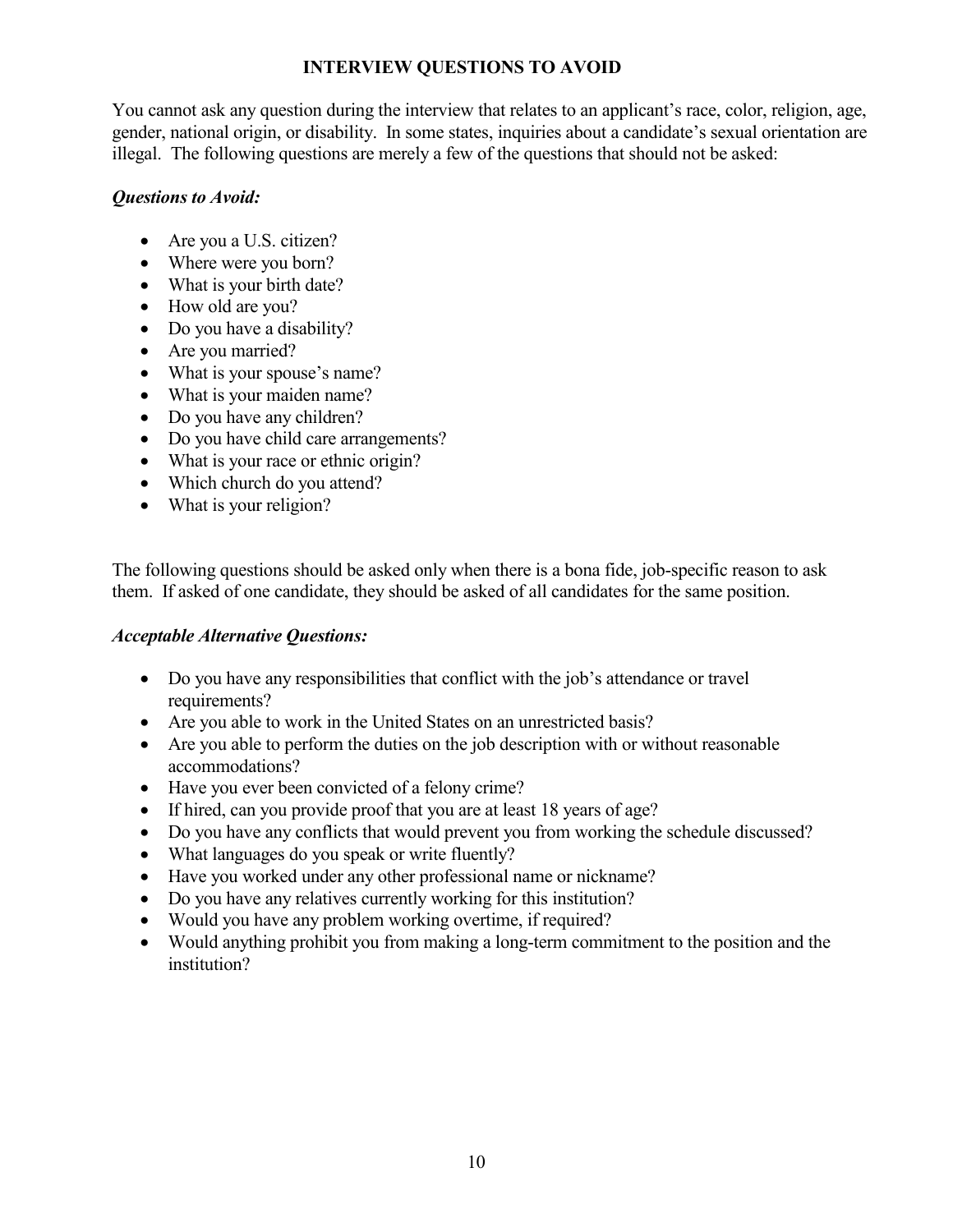#### **INTERVIEW QUESTIONS TO AVOID**

You cannot ask any question during the interview that relates to an applicant's race, color, religion, age, gender, national origin, or disability. In some states, inquiries about a candidate's sexual orientation are illegal. The following questions are merely a few of the questions that should not be asked:

#### *Questions to Avoid:*

- Are you a U.S. citizen?
- Where were you born?
- What is your birth date?
- How old are you?
- Do you have a disability?
- Are you married?
- What is your spouse's name?
- What is your maiden name?
- Do you have any children?
- Do you have child care arrangements?
- What is your race or ethnic origin?
- Which church do you attend?
- What is your religion?

The following questions should be asked only when there is a bona fide, job-specific reason to ask them. If asked of one candidate, they should be asked of all candidates for the same position.

#### *Acceptable Alternative Questions:*

- Do you have any responsibilities that conflict with the job's attendance or travel requirements?
- Are you able to work in the United States on an unrestricted basis?
- Are you able to perform the duties on the job description with or without reasonable accommodations?
- Have you ever been convicted of a felony crime?
- If hired, can you provide proof that you are at least 18 years of age?
- Do you have any conflicts that would prevent you from working the schedule discussed?
- What languages do you speak or write fluently?
- Have you worked under any other professional name or nickname?
- Do you have any relatives currently working for this institution?
- Would you have any problem working overtime, if required?
- Would anything prohibit you from making a long-term commitment to the position and the institution?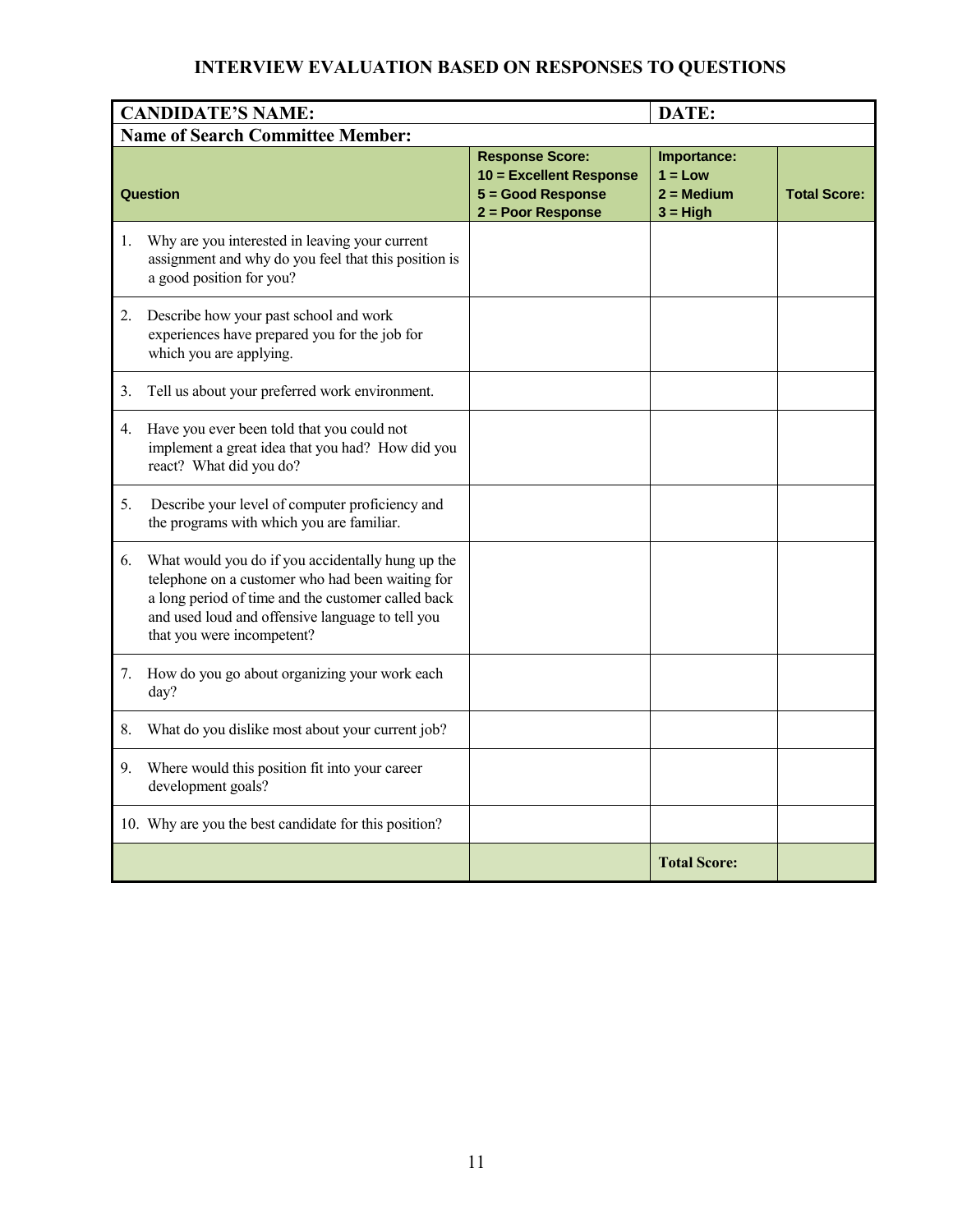### **INTERVIEW EVALUATION BASED ON RESPONSES TO QUESTIONS**

|                                         | <b>CANDIDATE'S NAME:</b>                                                                                                                                                                                                                      |                                                                                             | DATE:                                                         |                     |  |  |
|-----------------------------------------|-----------------------------------------------------------------------------------------------------------------------------------------------------------------------------------------------------------------------------------------------|---------------------------------------------------------------------------------------------|---------------------------------------------------------------|---------------------|--|--|
| <b>Name of Search Committee Member:</b> |                                                                                                                                                                                                                                               |                                                                                             |                                                               |                     |  |  |
| Question                                |                                                                                                                                                                                                                                               | <b>Response Score:</b><br>10 = Excellent Response<br>5 = Good Response<br>2 = Poor Response | Importance:<br>$1 = Low$<br>$2 = \text{Median}$<br>$3 = High$ | <b>Total Score:</b> |  |  |
| 1.                                      | Why are you interested in leaving your current<br>assignment and why do you feel that this position is<br>a good position for you?                                                                                                            |                                                                                             |                                                               |                     |  |  |
| 2.                                      | Describe how your past school and work<br>experiences have prepared you for the job for<br>which you are applying.                                                                                                                            |                                                                                             |                                                               |                     |  |  |
| 3.                                      | Tell us about your preferred work environment.                                                                                                                                                                                                |                                                                                             |                                                               |                     |  |  |
| 4.                                      | Have you ever been told that you could not<br>implement a great idea that you had? How did you<br>react? What did you do?                                                                                                                     |                                                                                             |                                                               |                     |  |  |
| 5.                                      | Describe your level of computer proficiency and<br>the programs with which you are familiar.                                                                                                                                                  |                                                                                             |                                                               |                     |  |  |
| 6.                                      | What would you do if you accidentally hung up the<br>telephone on a customer who had been waiting for<br>a long period of time and the customer called back<br>and used loud and offensive language to tell you<br>that you were incompetent? |                                                                                             |                                                               |                     |  |  |
| 7.                                      | How do you go about organizing your work each<br>day?                                                                                                                                                                                         |                                                                                             |                                                               |                     |  |  |
| 8.                                      | What do you dislike most about your current job?                                                                                                                                                                                              |                                                                                             |                                                               |                     |  |  |
| 9.                                      | Where would this position fit into your career<br>development goals?                                                                                                                                                                          |                                                                                             |                                                               |                     |  |  |
|                                         | 10. Why are you the best candidate for this position?                                                                                                                                                                                         |                                                                                             |                                                               |                     |  |  |
|                                         |                                                                                                                                                                                                                                               |                                                                                             | <b>Total Score:</b>                                           |                     |  |  |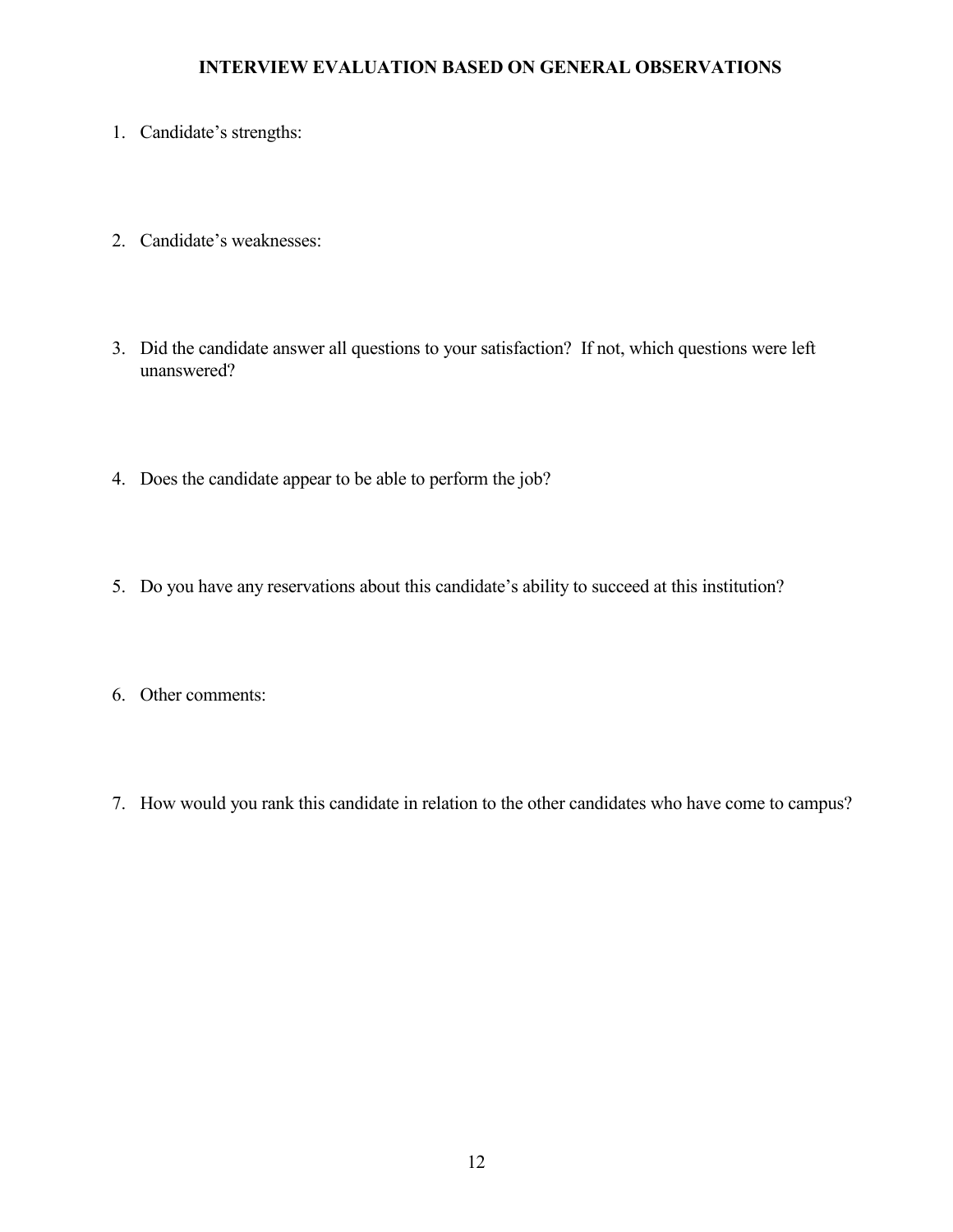#### **INTERVIEW EVALUATION BASED ON GENERAL OBSERVATIONS**

- 1. Candidate's strengths:
- 2. Candidate's weaknesses:
- 3. Did the candidate answer all questions to your satisfaction? If not, which questions were left unanswered?
- 4. Does the candidate appear to be able to perform the job?
- 5. Do you have any reservations about this candidate's ability to succeed at this institution?
- 6. Other comments:
- 7. How would you rank this candidate in relation to the other candidates who have come to campus?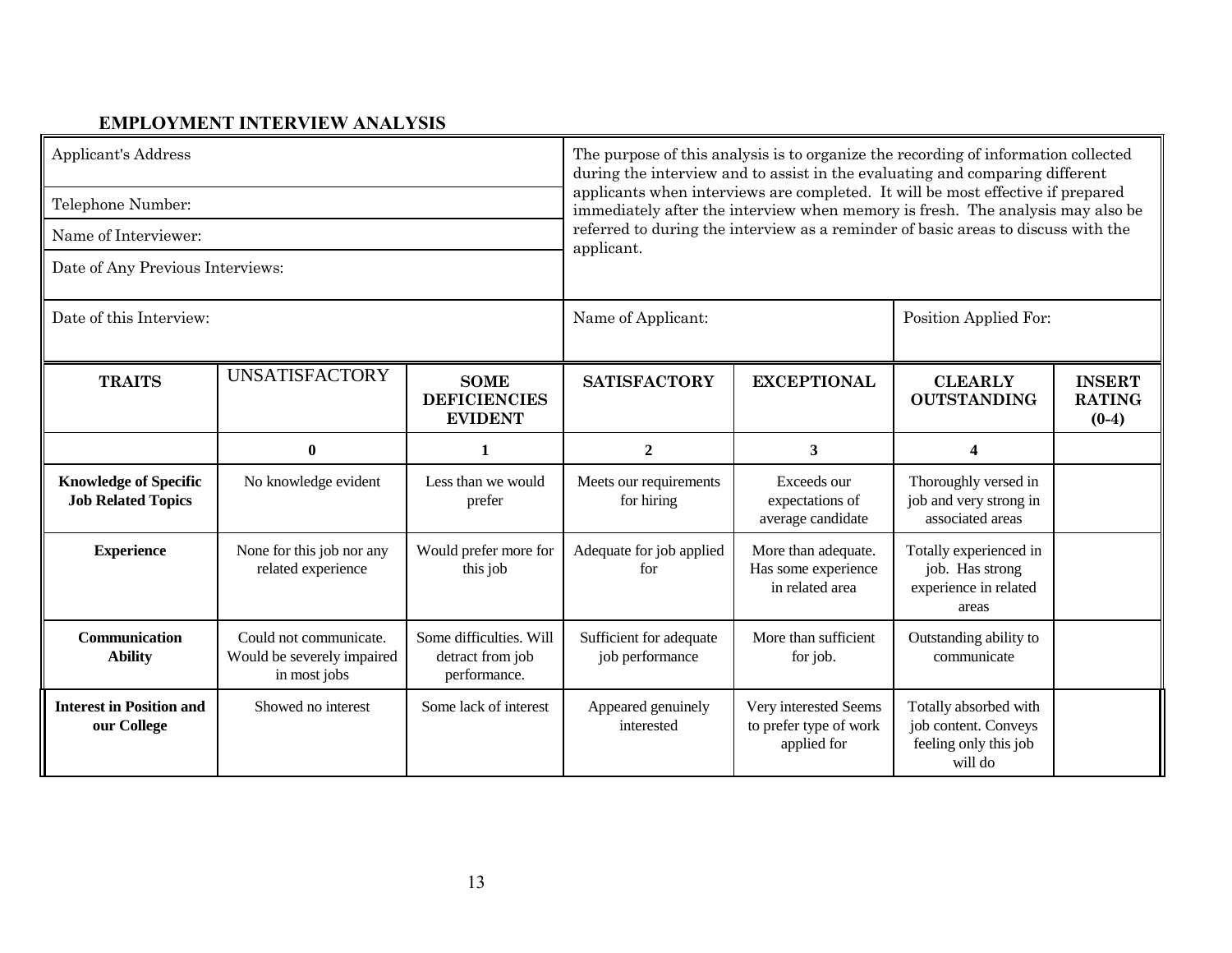#### **EMPLOYMENT INTERVIEW ANALYSIS**

| <b>Applicant's Address</b>                                |                                                                      |                                                             | The purpose of this analysis is to organize the recording of information collected<br>during the interview and to assist in the evaluating and comparing different<br>applicants when interviews are completed. It will be most effective if prepared<br>immediately after the interview when memory is fresh. The analysis may also be |                                                                                   |                                                                                   |                                           |  |
|-----------------------------------------------------------|----------------------------------------------------------------------|-------------------------------------------------------------|-----------------------------------------------------------------------------------------------------------------------------------------------------------------------------------------------------------------------------------------------------------------------------------------------------------------------------------------|-----------------------------------------------------------------------------------|-----------------------------------------------------------------------------------|-------------------------------------------|--|
| Telephone Number:                                         |                                                                      |                                                             |                                                                                                                                                                                                                                                                                                                                         |                                                                                   |                                                                                   |                                           |  |
| Name of Interviewer:                                      |                                                                      |                                                             |                                                                                                                                                                                                                                                                                                                                         | referred to during the interview as a reminder of basic areas to discuss with the |                                                                                   |                                           |  |
| Date of Any Previous Interviews:                          |                                                                      |                                                             | applicant.                                                                                                                                                                                                                                                                                                                              |                                                                                   |                                                                                   |                                           |  |
| Date of this Interview:                                   |                                                                      |                                                             | Name of Applicant:                                                                                                                                                                                                                                                                                                                      |                                                                                   | Position Applied For:                                                             |                                           |  |
| <b>TRAITS</b>                                             | <b>UNSATISFACTORY</b>                                                | <b>SOME</b><br><b>DEFICIENCIES</b><br><b>EVIDENT</b>        | <b>SATISFACTORY</b>                                                                                                                                                                                                                                                                                                                     | <b>EXCEPTIONAL</b>                                                                | <b>CLEARLY</b><br><b>OUTSTANDING</b>                                              | <b>INSERT</b><br><b>RATING</b><br>$(0-4)$ |  |
|                                                           | $\bf{0}$                                                             | $\mathbf{1}$                                                | $\boldsymbol{2}$                                                                                                                                                                                                                                                                                                                        | 3                                                                                 | $\Delta$                                                                          |                                           |  |
| <b>Knowledge of Specific</b><br><b>Job Related Topics</b> | No knowledge evident                                                 | Less than we would<br>prefer                                | Meets our requirements<br>for hiring                                                                                                                                                                                                                                                                                                    | Exceeds our<br>expectations of<br>average candidate                               | Thoroughly versed in<br>job and very strong in<br>associated areas                |                                           |  |
| <b>Experience</b>                                         | None for this job nor any<br>related experience                      | Would prefer more for<br>this job                           | Adequate for job applied<br>for                                                                                                                                                                                                                                                                                                         | More than adequate.<br>Has some experience<br>in related area                     | Totally experienced in<br>job. Has strong<br>experience in related<br>areas       |                                           |  |
| Communication<br><b>Ability</b>                           | Could not communicate.<br>Would be severely impaired<br>in most jobs | Some difficulties. Will<br>detract from job<br>performance. | Sufficient for adequate<br>job performance                                                                                                                                                                                                                                                                                              | More than sufficient<br>for job.                                                  | Outstanding ability to<br>communicate                                             |                                           |  |
| <b>Interest in Position and</b><br>our College            | Showed no interest                                                   | Some lack of interest                                       | Appeared genuinely<br>interested                                                                                                                                                                                                                                                                                                        | Very interested Seems<br>to prefer type of work<br>applied for                    | Totally absorbed with<br>job content. Conveys<br>feeling only this job<br>will do |                                           |  |